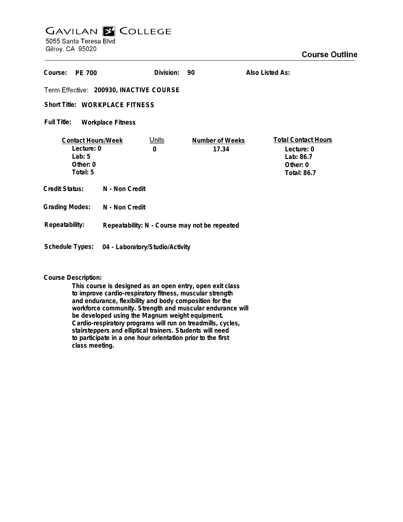## **GAVILAN Z COLLEGE** 5055 Santa Teresa Blvd

Gilroy, CA 95020

| Course:<br>PE 700                                                             |                                               | Division:                   | 90                       | Also Listed As:                                                                         |
|-------------------------------------------------------------------------------|-----------------------------------------------|-----------------------------|--------------------------|-----------------------------------------------------------------------------------------|
| Term Effective: 200930, INACTIVE COURSE                                       |                                               |                             |                          |                                                                                         |
| Short Title: WORKPLACE FITNESS                                                |                                               |                             |                          |                                                                                         |
| Full Title:<br><b>Workplace Fitness</b>                                       |                                               |                             |                          |                                                                                         |
| <b>Contact Hours/Week</b><br>Lecture: 0<br>Lab: $5$<br>Other: $0$<br>Total: 5 |                                               | <u>Units</u><br>$\mathbf 0$ | Number of Weeks<br>17.34 | <b>Total Contact Hours</b><br>Lecture: 0<br>Lab: 86.7<br>Other: 0<br><b>Total: 86.7</b> |
| Credit Status:                                                                | N - Non Credit                                |                             |                          |                                                                                         |
| <b>Grading Modes:</b>                                                         | N - Non Credit                                |                             |                          |                                                                                         |
| Repeatability:                                                                | Repeatability: N - Course may not be repeated |                             |                          |                                                                                         |
| Schedule Types:                                                               | 04 - Laboratory/Studio/Activity               |                             |                          |                                                                                         |

## **Course Description:**

**This course is designed as an open entry, open exit class to improve cardio-respiratory fitness, muscular strength and endurance, flexibility and body composition for the workforce community. Strength and muscular endurance will be developed using the Magnum weight equipment. Cardio-respiratory programs will run on treadmills, cycles, stairsteppers and elliptical trainers. Students will need to participate in a one hour orientation prior to the first class meeting.**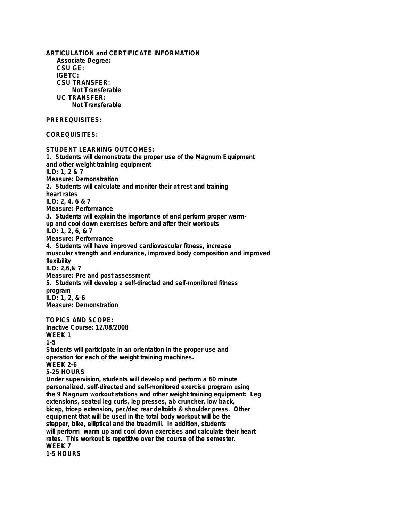**ARTICULATION and CERTIFICATE INFORMATION Associate Degree: CSU GE: IGETC: CSU TRANSFER: Not Transferable UC TRANSFER: Not Transferable PREREQUISITES: COREQUISITES: STUDENT LEARNING OUTCOMES: 1. Students will demonstrate the proper use of the Magnum Equipment and other weight training equipment ILO: 1, 2 & 7 Measure: Demonstration 2. Students will calculate and monitor their at rest and training heart rates ILO: 2, 4, 6 & 7 Measure: Performance 3. Students will explain the importance of and perform proper warmup and cool down exercises before and after their workouts ILO: 1, 2, 6, & 7 Measure: Performance 4. Students will have improved cardiovascular fitness, increase muscular strength and endurance, improved body composition and improved flexibility ILO: 2,6,& 7 Measure: Pre and post assessment 5. Students will develop a self-directed and self-monitored fitness program ILO: 1, 2, & 6 Measure: Demonstration TOPICS AND SCOPE: Inactive Course: 12/08/2008 WEEK 1 1-5 Students will participate in an orientation in the proper use and operation for each of the weight training machines. WEEK 2-6 5-25 HOURS Under supervision, students will develop and perform a 60 minute personalized, self-directed and self-monitored exercise program using the 9 Magnum workout stations and other weight training equipment: Leg extensions, seated leg curls, leg presses, ab cruncher, low back, bicep, tricep extension, pec/dec rear deltoids & shoulder press. Other equipment that will be used in the total body workout will be the stepper, bike, elliptical and the treadmill. In addition, students will perform warm up and cool down exercises and calculate their heart rates. This workout is repetitive over the course of the semester. WEEK 7 1-5 HOURS**